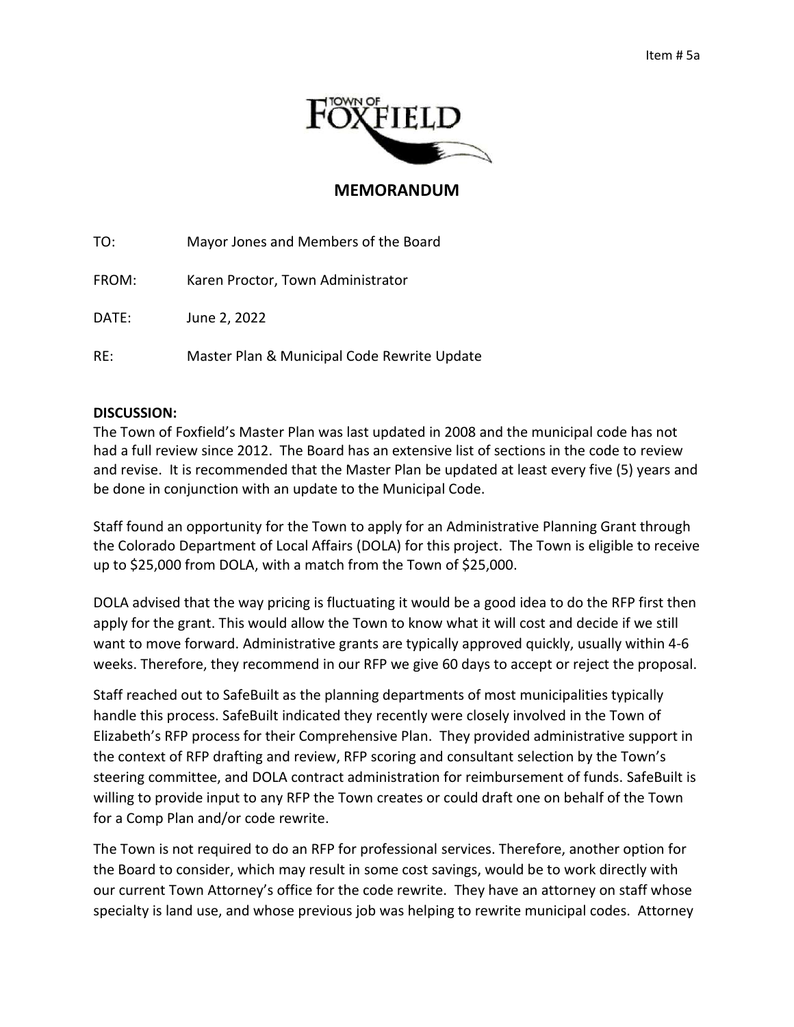

## **MEMORANDUM**

TO: Mayor Jones and Members of the Board

FROM: Karen Proctor, Town Administrator

DATE: June 2, 2022

RE: Master Plan & Municipal Code Rewrite Update

## **DISCUSSION:**

The Town of Foxfield's Master Plan was last updated in 2008 and the municipal code has not had a full review since 2012. The Board has an extensive list of sections in the code to review and revise. It is recommended that the Master Plan be updated at least every five (5) years and be done in conjunction with an update to the Municipal Code.

Staff found an opportunity for the Town to apply for an Administrative Planning Grant through the Colorado Department of Local Affairs (DOLA) for this project. The Town is eligible to receive up to \$25,000 from DOLA, with a match from the Town of \$25,000.

DOLA advised that the way pricing is fluctuating it would be a good idea to do the RFP first then apply for the grant. This would allow the Town to know what it will cost and decide if we still want to move forward. Administrative grants are typically approved quickly, usually within 4-6 weeks. Therefore, they recommend in our RFP we give 60 days to accept or reject the proposal.

Staff reached out to SafeBuilt as the planning departments of most municipalities typically handle this process. SafeBuilt indicated they recently were closely involved in the Town of Elizabeth's RFP process for their Comprehensive Plan. They provided administrative support in the context of RFP drafting and review, RFP scoring and consultant selection by the Town's steering committee, and DOLA contract administration for reimbursement of funds. SafeBuilt is willing to provide input to any RFP the Town creates or could draft one on behalf of the Town for a Comp Plan and/or code rewrite.

The Town is not required to do an RFP for professional services. Therefore, another option for the Board to consider, which may result in some cost savings, would be to work directly with our current Town Attorney's office for the code rewrite. They have an attorney on staff whose specialty is land use, and whose previous job was helping to rewrite municipal codes. Attorney